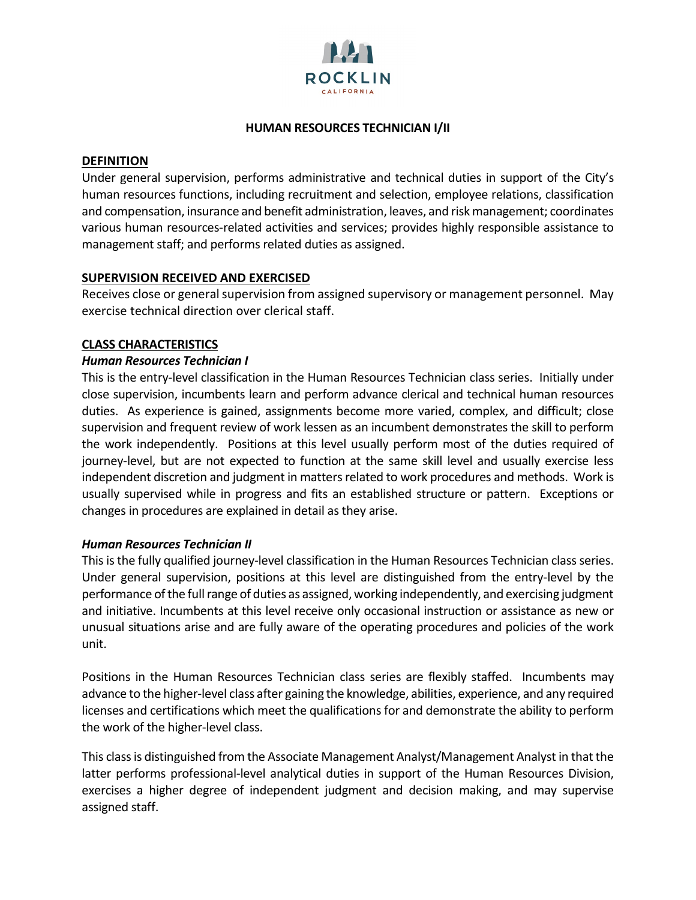

### **HUMAN RESOURCES TECHNICIAN I/II**

#### **DEFINITION**

Under general supervision, performs administrative and technical duties in support of the City's human resources functions, including recruitment and selection, employee relations, classification and compensation, insurance and benefit administration, leaves, and risk management; coordinates various human resources-related activities and services; provides highly responsible assistance to management staff; and performs related duties as assigned.

## **SUPERVISION RECEIVED AND EXERCISED**

Receives close or general supervision from assigned supervisory or management personnel. May exercise technical direction over clerical staff.

#### **CLASS CHARACTERISTICS**

#### *Human Resources Technician I*

This is the entry-level classification in the Human Resources Technician class series. Initially under close supervision, incumbents learn and perform advance clerical and technical human resources duties. As experience is gained, assignments become more varied, complex, and difficult; close supervision and frequent review of work lessen as an incumbent demonstrates the skill to perform the work independently. Positions at this level usually perform most of the duties required of journey-level, but are not expected to function at the same skill level and usually exercise less independent discretion and judgment in matters related to work procedures and methods. Work is usually supervised while in progress and fits an established structure or pattern. Exceptions or changes in procedures are explained in detail as they arise.

#### *Human Resources Technician II*

This is the fully qualified journey-level classification in the Human Resources Technician class series. Under general supervision, positions at this level are distinguished from the entry-level by the performance of the full range of duties as assigned, working independently, and exercising judgment and initiative. Incumbents at this level receive only occasional instruction or assistance as new or unusual situations arise and are fully aware of the operating procedures and policies of the work unit.

Positions in the Human Resources Technician class series are flexibly staffed. Incumbents may advance to the higher-level class after gaining the knowledge, abilities, experience, and any required licenses and certifications which meet the qualifications for and demonstrate the ability to perform the work of the higher-level class.

This class is distinguished from the Associate Management Analyst/Management Analyst in that the latter performs professional-level analytical duties in support of the Human Resources Division, exercises a higher degree of independent judgment and decision making, and may supervise assigned staff.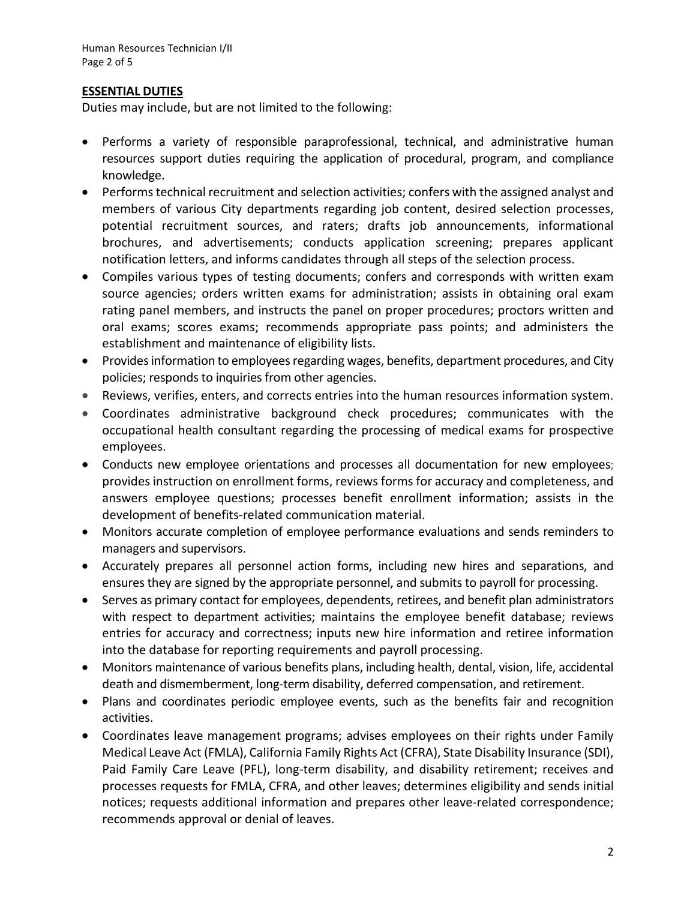# **ESSENTIAL DUTIES**

Duties may include, but are not limited to the following:

- Performs a variety of responsible paraprofessional, technical, and administrative human resources support duties requiring the application of procedural, program, and compliance knowledge.
- Performs technical recruitment and selection activities; confers with the assigned analyst and members of various City departments regarding job content, desired selection processes, potential recruitment sources, and raters; drafts job announcements, informational brochures, and advertisements; conducts application screening; prepares applicant notification letters, and informs candidates through all steps of the selection process.
- Compiles various types of testing documents; confers and corresponds with written exam source agencies; orders written exams for administration; assists in obtaining oral exam rating panel members, and instructs the panel on proper procedures; proctors written and oral exams; scores exams; recommends appropriate pass points; and administers the establishment and maintenance of eligibility lists.
- Provides information to employees regarding wages, benefits, department procedures, and City policies; responds to inquiries from other agencies.
- Reviews, verifies, enters, and corrects entries into the human resources information system.
- Coordinates administrative background check procedures; communicates with the occupational health consultant regarding the processing of medical exams for prospective employees.
- Conducts new employee orientations and processes all documentation for new employees; provides instruction on enrollment forms, reviews forms for accuracy and completeness, and answers employee questions; processes benefit enrollment information; assists in the development of benefits-related communication material.
- Monitors accurate completion of employee performance evaluations and sends reminders to managers and supervisors.
- Accurately prepares all personnel action forms, including new hires and separations, and ensures they are signed by the appropriate personnel, and submits to payroll for processing.
- Serves as primary contact for employees, dependents, retirees, and benefit plan administrators with respect to department activities; maintains the employee benefit database; reviews entries for accuracy and correctness; inputs new hire information and retiree information into the database for reporting requirements and payroll processing.
- Monitors maintenance of various benefits plans, including health, dental, vision, life, accidental death and dismemberment, long-term disability, deferred compensation, and retirement.
- Plans and coordinates periodic employee events, such as the benefits fair and recognition activities.
- Coordinates leave management programs; advises employees on their rights under Family Medical Leave Act (FMLA), California Family Rights Act (CFRA), State Disability Insurance (SDI), Paid Family Care Leave (PFL), long-term disability, and disability retirement; receives and processes requests for FMLA, CFRA, and other leaves; determines eligibility and sends initial notices; requests additional information and prepares other leave-related correspondence; recommends approval or denial of leaves.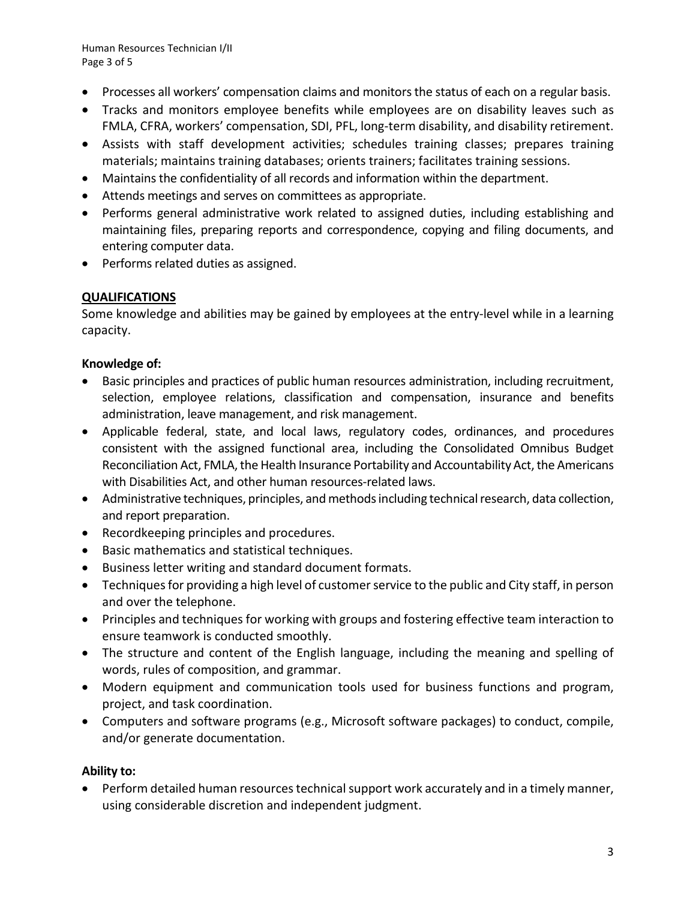Human Resources Technician I/II Page 3 of 5

- Processes all workers' compensation claims and monitors the status of each on a regular basis.
- Tracks and monitors employee benefits while employees are on disability leaves such as FMLA, CFRA, workers' compensation, SDI, PFL, long-term disability, and disability retirement.
- Assists with staff development activities; schedules training classes; prepares training materials; maintains training databases; orients trainers; facilitates training sessions.
- Maintains the confidentiality of all records and information within the department.
- Attends meetings and serves on committees as appropriate.
- Performs general administrative work related to assigned duties, including establishing and maintaining files, preparing reports and correspondence, copying and filing documents, and entering computer data.
- Performs related duties as assigned.

# **QUALIFICATIONS**

Some knowledge and abilities may be gained by employees at the entry-level while in a learning capacity.

# **Knowledge of:**

- Basic principles and practices of public human resources administration, including recruitment, selection, employee relations, classification and compensation, insurance and benefits administration, leave management, and risk management.
- Applicable federal, state, and local laws, regulatory codes, ordinances, and procedures consistent with the assigned functional area, including the Consolidated Omnibus Budget Reconciliation Act, FMLA, the Health Insurance Portability and Accountability Act, the Americans with Disabilities Act, and other human resources-related laws.
- Administrative techniques, principles, and methods including technical research, data collection, and report preparation.
- Recordkeeping principles and procedures.
- Basic mathematics and statistical techniques.
- Business letter writing and standard document formats.
- Techniques for providing a high level of customer service to the public and City staff, in person and over the telephone.
- Principles and techniques for working with groups and fostering effective team interaction to ensure teamwork is conducted smoothly.
- The structure and content of the English language, including the meaning and spelling of words, rules of composition, and grammar.
- Modern equipment and communication tools used for business functions and program, project, and task coordination.
- Computers and software programs (e.g., Microsoft software packages) to conduct, compile, and/or generate documentation.

# **Ability to:**

• Perform detailed human resources technical support work accurately and in a timely manner, using considerable discretion and independent judgment.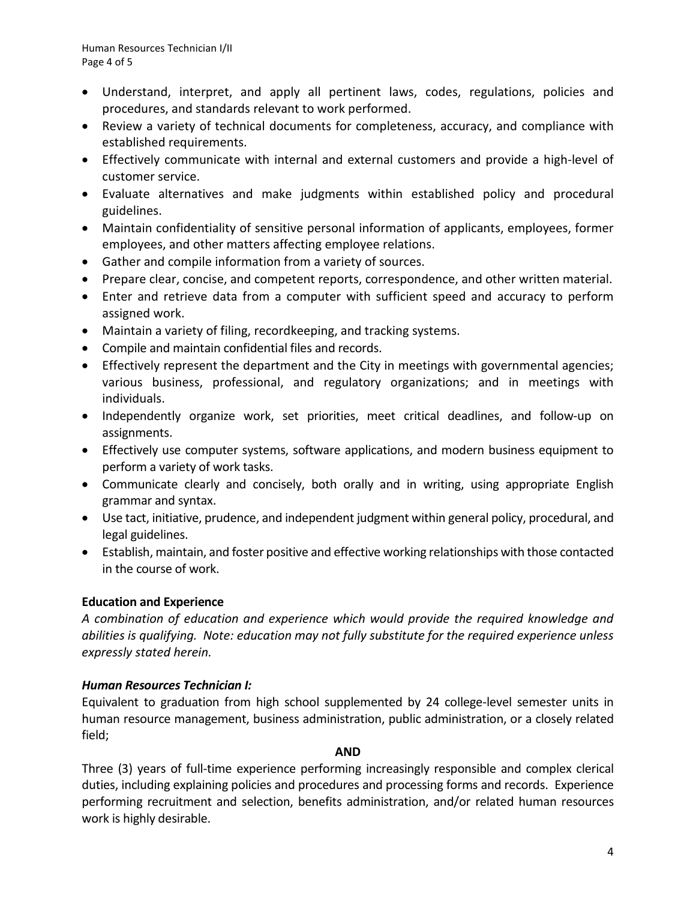- Understand, interpret, and apply all pertinent laws, codes, regulations, policies and procedures, and standards relevant to work performed.
- Review a variety of technical documents for completeness, accuracy, and compliance with established requirements.
- Effectively communicate with internal and external customers and provide a high-level of customer service.
- Evaluate alternatives and make judgments within established policy and procedural guidelines.
- Maintain confidentiality of sensitive personal information of applicants, employees, former employees, and other matters affecting employee relations.
- Gather and compile information from a variety of sources.
- Prepare clear, concise, and competent reports, correspondence, and other written material.
- Enter and retrieve data from a computer with sufficient speed and accuracy to perform assigned work.
- Maintain a variety of filing, recordkeeping, and tracking systems.
- Compile and maintain confidential files and records.
- Effectively represent the department and the City in meetings with governmental agencies; various business, professional, and regulatory organizations; and in meetings with individuals.
- Independently organize work, set priorities, meet critical deadlines, and follow-up on assignments.
- Effectively use computer systems, software applications, and modern business equipment to perform a variety of work tasks.
- Communicate clearly and concisely, both orally and in writing, using appropriate English grammar and syntax.
- Use tact, initiative, prudence, and independent judgment within general policy, procedural, and legal guidelines.
- Establish, maintain, and foster positive and effective working relationships with those contacted in the course of work.

## **Education and Experience**

*A combination of education and experience which would provide the required knowledge and abilities is qualifying. Note: education may not fully substitute for the required experience unless expressly stated herein.*

## *Human Resources Technician I:*

Equivalent to graduation from high school supplemented by 24 college-level semester units in human resource management, business administration, public administration, or a closely related field;

#### **AND**

Three (3) years of full-time experience performing increasingly responsible and complex clerical duties, including explaining policies and procedures and processing forms and records. Experience performing recruitment and selection, benefits administration, and/or related human resources work is highly desirable.